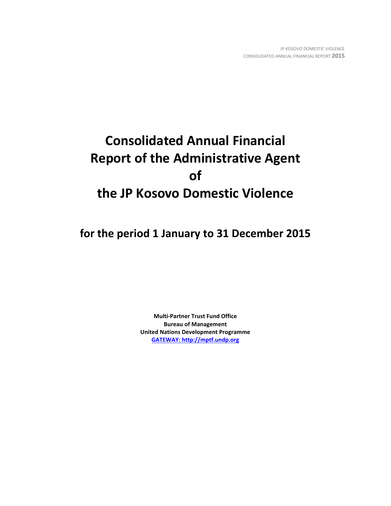# **Consolidated Annual Financial Report of the Administrative Agent of the JP Kosovo Domestic Violence**

**for the period 1 January to 31 December 2015**

**Multi-Partner Trust Fund Office Bureau of Management United Nations Development Programme [GATEWAY: http://mptf.undp.org](http://mptf.undp.org/)**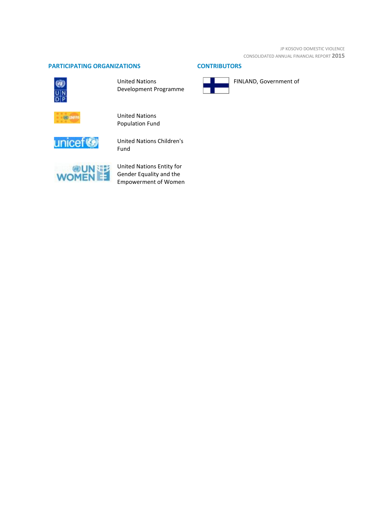JP KOSOVO DOMESTIC VIOLENCE CONSOLIDATED ANNUAL FINANCIAL REPORT **2015**

# **PARTICIPATING ORGANIZATIONS CONTRIBUTORS**



United Nations Development Programme



FINLAND, Government of



United Nations Population Fund



United Nations Children's Fund



United Nations Entity for Gender Equality and the Empowerment of Women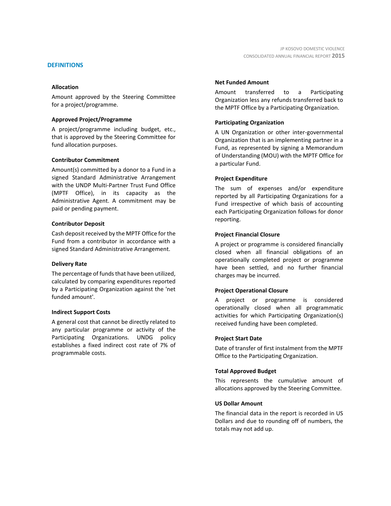## **DEFINITIONS**

## **Allocation**

Amount approved by the Steering Committee for a project/programme.

## **Approved Project/Programme**

A project/programme including budget, etc., that is approved by the Steering Committee for fund allocation purposes.

## **Contributor Commitment**

Amount(s) committed by a donor to a Fund in a signed Standard Administrative Arrangement with the UNDP Multi-Partner Trust Fund Office (MPTF Office), in its capacity as the Administrative Agent. A commitment may be paid or pending payment.

## **Contributor Deposit**

Cash deposit received by the MPTF Office for the Fund from a contributor in accordance with a signed Standard Administrative Arrangement.

## **Delivery Rate**

The percentage of funds that have been utilized, calculated by comparing expenditures reported by a Participating Organization against the 'net funded amount'.

## **Indirect Support Costs**

A general cost that cannot be directly related to any particular programme or activity of the Participating Organizations. UNDG policy establishes a fixed indirect cost rate of 7% of programmable costs.

## **Net Funded Amount**

Amount transferred to a Participating Organization less any refunds transferred back to the MPTF Office by a Participating Organization.

## **Participating Organization**

A UN Organization or other inter-governmental Organization that is an implementing partner in a Fund, as represented by signing a Memorandum of Understanding (MOU) with the MPTF Office for a particular Fund.

## **Project Expenditure**

The sum of expenses and/or expenditure reported by all Participating Organizations for a Fund irrespective of which basis of accounting each Participating Organization follows for donor reporting.

## **Project Financial Closure**

A project or programme is considered financially closed when all financial obligations of an operationally completed project or programme have been settled, and no further financial charges may be incurred.

## **Project Operational Closure**

A project or programme is considered operationally closed when all programmatic activities for which Participating Organization(s) received funding have been completed.

## **Project Start Date**

Date of transfer of first instalment from the MPTF Office to the Participating Organization.

## **Total Approved Budget**

This represents the cumulative amount of allocations approved by the Steering Committee.

## **US Dollar Amount**

The financial data in the report is recorded in US Dollars and due to rounding off of numbers, the totals may not add up.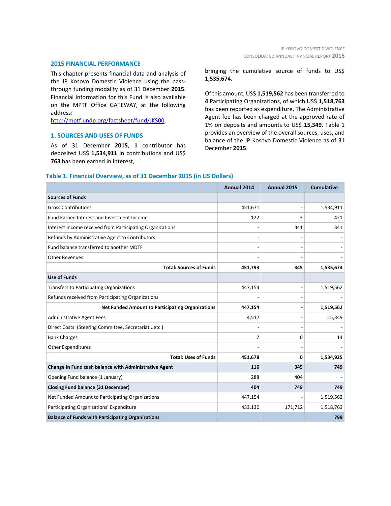#### **2015 FINANCIAL PERFORMANCE**

This chapter presents financial data and analysis of the JP Kosovo Domestic Violence using the passthrough funding modality as of 31 December **2015**. Financial information for this Fund is also available on the MPTF Office GATEWAY, at the following address:

[http://mptf.undp.org/factsheet/fund/JKS00.](http://mptf.undp.org/factsheet/fund/JKS00)

## **1. SOURCES AND USES OF FUNDS**

As of 31 December **2015**, **1** contributor has deposited US\$ **1,534,911** in contributions and US\$ **763** has been earned in interest,

bringing the cumulative source of funds to US\$ **1,535,674.**

Of this amount, US\$ **1,519,562** has been transferred to **4** Participating Organizations, of which US\$ **1,518,763** has been reported as expenditure. The Administrative Agent fee has been charged at the approved rate of 1% on deposits and amounts to US\$ **15,349**. Table 1 provides an overview of the overall sources, uses, and balance of the JP Kosovo Domestic Violence as of 31 December **2015**.

## **Table 1. Financial Overview, as of 31 December 2015 (in US Dollars)**

|                                                           | Annual 2014 | Annual 2015 | <b>Cumulative</b> |
|-----------------------------------------------------------|-------------|-------------|-------------------|
| <b>Sources of Funds</b>                                   |             |             |                   |
| <b>Gross Contributions</b>                                | 451,671     |             | 1,534,911         |
| Fund Earned Interest and Investment Income                | 122         | 3           | 421               |
| Interest Income received from Participating Organizations |             | 341         | 341               |
| Refunds by Administrative Agent to Contributors           |             |             |                   |
| Fund balance transferred to another MDTF                  |             |             |                   |
| <b>Other Revenues</b>                                     |             |             |                   |
| <b>Total: Sources of Funds</b>                            | 451,793     | 345         | 1,535,674         |
| <b>Use of Funds</b>                                       |             |             |                   |
| <b>Transfers to Participating Organizations</b>           | 447,154     |             | 1,519,562         |
| Refunds received from Participating Organizations         |             |             |                   |
| <b>Net Funded Amount to Participating Organizations</b>   | 447,154     |             | 1,519,562         |
| <b>Administrative Agent Fees</b>                          | 4,517       |             | 15,349            |
| Direct Costs: (Steering Committee, Secretariatetc.)       |             |             |                   |
| <b>Bank Charges</b>                                       | 7           | 0           | 14                |
| <b>Other Expenditures</b>                                 |             |             |                   |
| <b>Total: Uses of Funds</b>                               | 451,678     | 0           | 1,534,925         |
| Change in Fund cash balance with Administrative Agent     | 116         | 345         | 749               |
| Opening Fund balance (1 January)                          | 288         | 404         |                   |
| <b>Closing Fund balance (31 December)</b>                 | 404         | 749         | 749               |
| Net Funded Amount to Participating Organizations          | 447,154     |             | 1,519,562         |
| Participating Organizations' Expenditure                  | 433,130     | 171,712     | 1,518,763         |
| <b>Balance of Funds with Participating Organizations</b>  |             |             | 799               |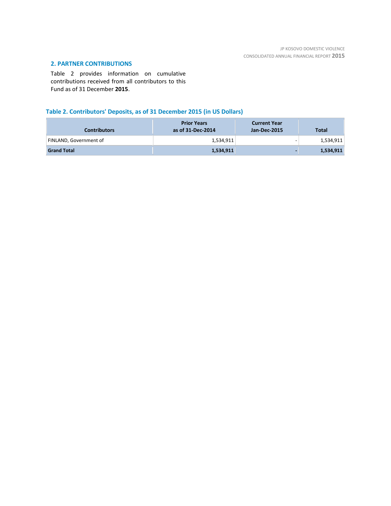# **2. PARTNER CONTRIBUTIONS**

Table 2 provides information on cumulative contributions received from all contributors to this Fund as of 31 December **2015**.

# **Table 2. Contributors' Deposits, as of 31 December 2015 (in US Dollars)**

| <b>Contributors</b>    | <b>Prior Years</b><br>as of 31-Dec-2014 | <b>Current Year</b><br>Jan-Dec-2015 | <b>Total</b> |
|------------------------|-----------------------------------------|-------------------------------------|--------------|
| FINLAND, Government of | 1,534,911                               | -                                   | 1,534,911    |
| <b>Grand Total</b>     | 1,534,911                               |                                     | 1,534,911    |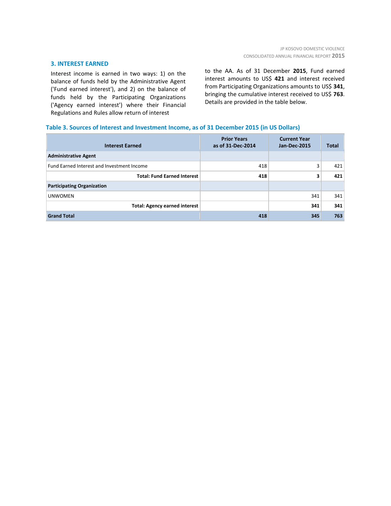## **3. INTEREST EARNED**

Interest income is earned in two ways: 1) on the balance of funds held by the Administrative Agent ('Fund earned interest'), and 2) on the balance of funds held by the Participating Organizations ('Agency earned interest') where their Financial Regulations and Rules allow return of interest

to the AA. As of 31 December **2015**, Fund earned interest amounts to US\$ **421** and interest received from Participating Organizations amounts to US\$ **341**, bringing the cumulative interest received to US\$ **763**. Details are provided in the table below.

## **Table 3. Sources of Interest and Investment Income, as of 31 December 2015 (in US Dollars)**

| <b>Interest Earned</b>                     | <b>Prior Years</b><br>as of 31-Dec-2014 | <b>Current Year</b><br><b>Jan-Dec-2015</b> | <b>Total</b> |
|--------------------------------------------|-----------------------------------------|--------------------------------------------|--------------|
| <b>Administrative Agent</b>                |                                         |                                            |              |
| Fund Earned Interest and Investment Income | 418                                     | 3                                          | 421          |
| <b>Total: Fund Earned Interest</b>         | 418                                     | 3                                          | 421          |
| <b>Participating Organization</b>          |                                         |                                            |              |
| <b>UNWOMEN</b>                             |                                         | 341                                        | 341          |
| <b>Total: Agency earned interest</b>       |                                         | 341                                        | 341          |
| <b>Grand Total</b>                         | 418                                     | 345                                        | 763          |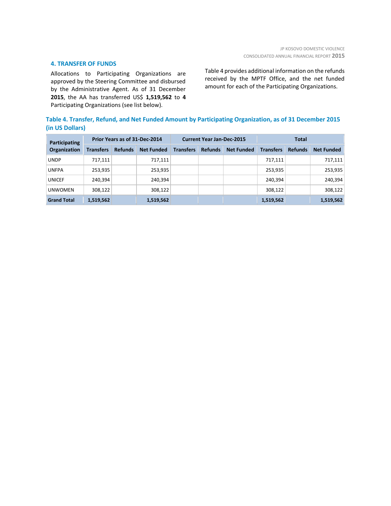## **4. TRANSFER OF FUNDS**

Allocations to Participating Organizations are approved by the Steering Committee and disbursed by the Administrative Agent. As of 31 December **2015**, the AA has transferred US\$ **1,519,562** to **4** Participating Organizations (see list below).

Table 4 provides additional information on the refunds received by the MPTF Office, and the net funded amount for each of the Participating Organizations.

# **Table 4. Transfer, Refund, and Net Funded Amount by Participating Organization, as of 31 December 2015 (in US Dollars)**

| Participating<br>Organization | Prior Years as of 31-Dec-2014 |                |                   | <b>Current Year Jan-Dec-2015</b> |                |                   | <b>Total</b>     |                |                   |
|-------------------------------|-------------------------------|----------------|-------------------|----------------------------------|----------------|-------------------|------------------|----------------|-------------------|
|                               | <b>Transfers</b>              | <b>Refunds</b> | <b>Net Funded</b> | <b>Transfers</b>                 | <b>Refunds</b> | <b>Net Funded</b> | <b>Transfers</b> | <b>Refunds</b> | <b>Net Funded</b> |
| <b>UNDP</b>                   | 717,111                       |                | 717,111           |                                  |                |                   | 717,111          |                | 717,111           |
| <b>UNFPA</b>                  | 253,935                       |                | 253,935           |                                  |                |                   | 253,935          |                | 253,935           |
| <b>UNICEF</b>                 | 240,394                       |                | 240,394           |                                  |                |                   | 240.394          |                | 240,394           |
| <b>UNWOMEN</b>                | 308,122                       |                | 308,122           |                                  |                |                   | 308.122          |                | 308,122           |
| <b>Grand Total</b>            | 1,519,562                     |                | 1,519,562         |                                  |                |                   | 1,519,562        |                | 1,519,562         |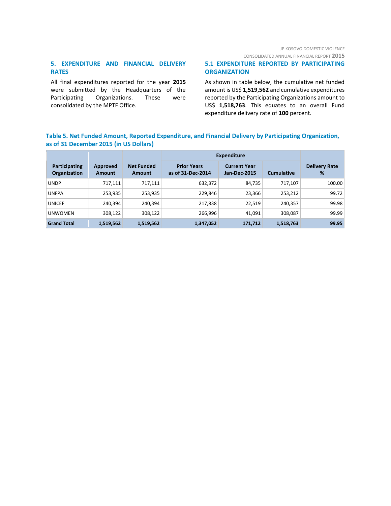# JP KOSOVO DOMESTIC VIOLENCE

CONSOLIDATED ANNUAL FINANCIAL REPORT **2015**

# **5. EXPENDITURE AND FINANCIAL DELIVERY RATES**

All final expenditures reported for the year **2015** were submitted by the Headquarters of the Participating Organizations. These were consolidated by the MPTF Office.

## **5.1 EXPENDITURE REPORTED BY PARTICIPATING ORGANIZATION**

As shown in table below, the cumulative net funded amount is US\$ **1,519,562** and cumulative expenditures reported by the Participating Organizations amount to US\$ **1,518,763**. This equates to an overall Fund expenditure delivery rate of **100** percent.

# **Table 5. Net Funded Amount, Reported Expenditure, and Financial Delivery by Participating Organization, as of 31 December 2015 (in US Dollars)**

|                                      |                    |                                    | <b>Expenditure</b>                      |                                     |                   |                           |
|--------------------------------------|--------------------|------------------------------------|-----------------------------------------|-------------------------------------|-------------------|---------------------------|
| Participating<br><b>Organization</b> | Approved<br>Amount | <b>Net Funded</b><br><b>Amount</b> | <b>Prior Years</b><br>as of 31-Dec-2014 | <b>Current Year</b><br>Jan-Dec-2015 | <b>Cumulative</b> | <b>Delivery Rate</b><br>% |
| <b>UNDP</b>                          | 717,111            | 717,111                            | 632,372                                 | 84,735                              | 717.107           | 100.00                    |
| <b>UNFPA</b>                         | 253,935            | 253,935                            | 229,846                                 | 23,366                              | 253,212           | 99.72                     |
| <b>UNICEF</b>                        | 240,394            | 240,394                            | 217,838                                 | 22,519                              | 240,357           | 99.98                     |
| <b>UNWOMEN</b>                       | 308,122            | 308,122                            | 266,996                                 | 41,091                              | 308,087           | 99.99                     |
| <b>Grand Total</b>                   | 1,519,562          | 1,519,562                          | 1,347,052                               | 171,712                             | 1,518,763         | 99.95                     |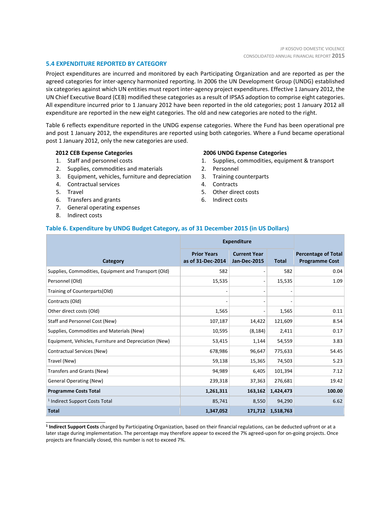## **5.4 EXPENDITURE REPORTED BY CATEGORY**

Project expenditures are incurred and monitored by each Participating Organization and are reported as per the agreed categories for inter-agency harmonized reporting. In 2006 the UN Development Group (UNDG) established six categories against which UN entities must report inter-agency project expenditures. Effective 1 January 2012, the UN Chief Executive Board (CEB) modified these categories as a result of IPSAS adoption to comprise eight categories. All expenditure incurred prior to 1 January 2012 have been reported in the old categories; post 1 January 2012 all expenditure are reported in the new eight categories. The old and new categories are noted to the right.

Table 6 reflects expenditure reported in the UNDG expense categories. Where the Fund has been operational pre and post 1 January 2012, the expenditures are reported using both categories. Where a Fund became operational post 1 January 2012, only the new categories are used.

## **2012 CEB Expense Categories**

- 1. Staff and personnel costs
- 2. Supplies, commodities and materials
- 3. Equipment, vehicles, furniture and depreciation
- 4. Contractual services
- 5. Travel
- 6. Transfers and grants
- 7. General operating expenses
- 8. Indirect costs

\_\_\_\_\_\_\_\_\_\_\_\_\_\_\_\_\_\_\_\_\_\_

#### **2006 UNDG Expense Categories**

- 1. Supplies, commodities, equipment & transport
- 2. Personnel
- 3. Training counterparts
- 4. Contracts
- 5. Other direct costs
- 6. Indirect costs

## **Table 6. Expenditure by UNDG Budget Category, as of 31 December 2015 (in US Dollars)**

|                                                       | <b>Expenditure</b>                      |                                            |              |                                                     |
|-------------------------------------------------------|-----------------------------------------|--------------------------------------------|--------------|-----------------------------------------------------|
| Category                                              | <b>Prior Years</b><br>as of 31-Dec-2014 | <b>Current Year</b><br><b>Jan-Dec-2015</b> | <b>Total</b> | <b>Percentage of Total</b><br><b>Programme Cost</b> |
| Supplies, Commodities, Equipment and Transport (Old)  | 582                                     | $\overline{\phantom{a}}$                   | 582          | 0.04                                                |
| Personnel (Old)                                       | 15,535                                  | $\qquad \qquad \blacksquare$               | 15,535       | 1.09                                                |
| Training of Counterparts(Old)                         |                                         | $\overline{a}$                             |              |                                                     |
| Contracts (Old)                                       |                                         | $\overline{a}$                             |              |                                                     |
| Other direct costs (Old)                              | 1,565                                   |                                            | 1,565        | 0.11                                                |
| Staff and Personnel Cost (New)                        | 107,187                                 | 14,422                                     | 121,609      | 8.54                                                |
| Supplies, Commodities and Materials (New)             | 10,595                                  | (8, 184)                                   | 2,411        | 0.17                                                |
| Equipment, Vehicles, Furniture and Depreciation (New) | 53,415                                  | 1,144                                      | 54,559       | 3.83                                                |
| Contractual Services (New)                            | 678,986                                 | 96,647                                     | 775,633      | 54.45                                               |
| Travel (New)                                          | 59,138                                  | 15,365                                     | 74,503       | 5.23                                                |
| Transfers and Grants (New)                            | 94,989                                  | 6,405                                      | 101,394      | 7.12                                                |
| <b>General Operating (New)</b>                        | 239,318                                 | 37,363                                     | 276,681      | 19.42                                               |
| <b>Programme Costs Total</b>                          | 1,261,311                               | 163,162                                    | 1,424,473    | 100.00                                              |
| <sup>1</sup> Indirect Support Costs Total             | 85,741                                  | 8,550                                      | 94,290       | 6.62                                                |
| <b>Total</b>                                          | 1,347,052                               | 171,712                                    | 1,518,763    |                                                     |

**1 Indirect Support Costs** charged by Participating Organization, based on their financial regulations, can be deducted upfront or at a later stage during implementation. The percentage may therefore appear to exceed the 7% agreed-upon for on-going projects. Once projects are financially closed, this number is not to exceed 7%.